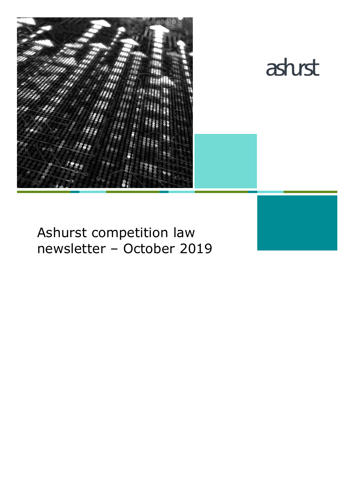



# Ashurst competition law newsletter – October 2019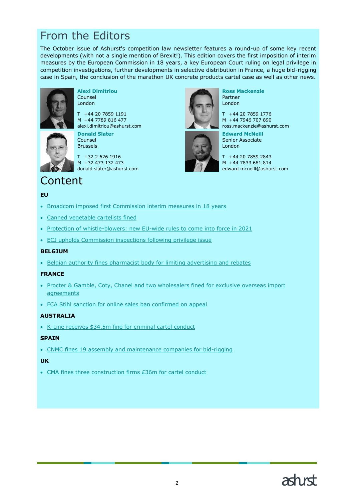# From the Editors

The October issue of Ashurst's competition law newsletter features a round-up of some key recent developments (with not a single mention of Brexit!). This edition covers the first imposition of interim measures by the European Commission in 18 years, a key European Court ruling on legal privilege in competition investigations, further developments in selective distribution in France, a huge bid-rigging case in Spain, the conclusion of the marathon UK concrete products cartel case as well as other news.



**Alexi Dimitriou** Counsel London

T +44 20 7859 1191 M +44 7789 816 477 alexi.dimitriou@ashurst.com



**Donald Slater** Counsel Brussels

T +32 2 626 1916 M +32 473 132 473 donald.slater@ashurst.com



**Ross Mackenzie** Partner London

T +44 20 7859 1776 M +44 7946 707 890 ross.mackenzie@ashurst.com

**Edward McNeill** Senior Associate London

T +44 20 7859 2843 M +44 7833 681 814 edward.mcneill@ashurst.com

# Content

### **EU**

- Broadcom imposed [first Commission interim measures in 18 years](#page-2-0)
- [Canned vegetable cartelists fined](#page-3-0)
- [Protection of whistle-blowers: new EU-wide rules to come into force in 2021](#page-4-0)
- [ECJ upholds Commission inspections following privilege issue](#page-6-0)

#### **BELGIUM**

• [Belgian authority fines pharmacist body for limiting advertising and rebates](#page-7-0)

#### **FRANCE**

- [Procter & Gamble, Coty, Chanel and two wholesalers fined for exclusive overseas import](#page-8-0)  [agreements](#page-8-0)
- [FCA Stihl sanction for online sales ban confirmed on appeal](#page-9-0)

### **AUSTRALIA**

• [K-Line receives \\$34.5m fine for criminal cartel conduct](#page-10-0)

#### **SPAIN**

• CNMC fines 19 [assembly and maintenance companies for bid-rigging](#page-12-0)

### **UK**

• [CMA fines three construction firms £36m for cartel conduct](#page-13-0)

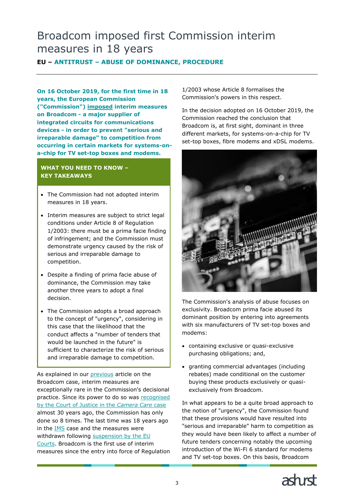# <span id="page-2-0"></span>Broadcom imposed first Commission interim measures in 18 years

**EU – ANTITRUST – ABUSE OF DOMINANCE, PROCEDURE**

**On 16 October 2019, for the first time in 18 years, the European Commission ("Commission") [imposed](https://europa.eu/rapid/press-release_IP-19-6109_en.htm) interim measures on Broadcom - a major supplier of integrated circuits for communications devices - in order to prevent "serious and irreparable damage" to competition from occurring in certain markets for systems-ona-chip for TV set-top boxes and modems.**

### **WHAT YOU NEED TO KNOW – KEY TAKEAWAYS**

- The Commission had not adopted interim measures in 18 years.
- Interim measures are subject to strict legal conditions under Article 8 of Regulation 1/2003: there must be a prima facie finding of infringement; and the Commission must demonstrate urgency caused by the risk of serious and irreparable damage to competition.
- Despite a finding of prima facie abuse of dominance, the Commission may take another three years to adopt a final decision.
- The Commission adopts a broad approach to the concept of "urgency", considering in this case that the likelihood that the conduct affects a "number of tenders that would be launched in the future" is sufficient to characterize the risk of serious and irreparable damage to competition.

As explained in our [previous](https://www.ashurst.com/en/news-and-insights/legal-updates/broadcom-faces-first-commission-interim-measures-for-18-years/) article on the Broadcom case, interim measures are exceptionally rare in the Commission's decisional practice. Since its power to do so was [recognised](https://eur-lex.europa.eu/legal-content/EN/TXT/?uri=CELEX%3A61979CO0792)  [by the Court of Justice in the](https://eur-lex.europa.eu/legal-content/EN/TXT/?uri=CELEX%3A61979CO0792) *Camera Care* case almost 30 years ago, the Commission has only done so 8 times. The last time was 18 years ago in the [IMS](https://eur-lex.europa.eu/legal-content/EN/TXT/?uri=CELEX%3A32002D0165) case and the measures were withdrawn following [suspension by the EU](http://curia.europa.eu/juris/liste.jsf?language=en&num=C-481/01)  [Courts.](http://curia.europa.eu/juris/liste.jsf?language=en&num=C-481/01) Broadcom is the first use of interim measures since the entry into force of Regulation

1/2003 whose Article 8 formalises the Commission's powers in this respect.

In the decision adopted on 16 October 2019, the Commission reached the conclusion that Broadcom is, at first sight, dominant in three different markets, for systems-on-a-chip for TV set-top boxes, fibre modems and xDSL modems.



The Commission's analysis of abuse focuses on exclusivity. Broadcom prima facie abused its dominant position by entering into agreements with six manufacturers of TV set-top boxes and modems:

- containing exclusive or quasi-exclusive purchasing obligations; and,
- granting commercial advantages (including rebates) made conditional on the customer buying these products exclusively or quasiexclusively from Broadcom.

In what appears to be a quite broad approach to the notion of "urgency", the Commission found that these provisions would have resulted into "serious and irreparable" harm to competition as they would have been likely to affect a number of future tenders concerning notably the upcoming introduction of the Wi-Fi 6 standard for modems and TV set-top boxes. On this basis, Broadcom

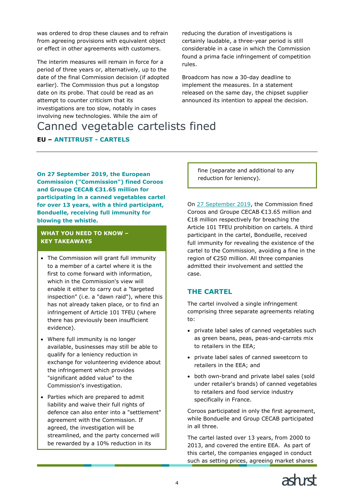was ordered to drop these clauses and to refrain from agreeing provisions with equivalent object or effect in other agreements with customers.

The interim measures will remain in force for a period of three years or, alternatively, up to the date of the final Commission decision (if adopted earlier). The Commission thus put a longstop date on its probe. That could be read as an attempt to counter criticism that its investigations are too slow, notably in cases involving new technologies. While the aim of

reducing the duration of investigations is certainly laudable, a three-year period is still considerable in a case in which the Commission found a prima facie infringement of competition rules.

Broadcom has now a 30-day deadline to implement the measures. In a statement released on the same day, the chipset supplier announced its intention to appeal the decision.

# <span id="page-3-0"></span>Canned vegetable cartelists fined

# **EU – ANTITRUST - CARTELS**

**On 27 September 2019, the European Commission ("Commission") fined Coroos and Groupe CECAB €31.65 million for participating in a canned vegetables cartel for over 13 years, with a third participant, Bonduelle, receiving full immunity for blowing the whistle.**

#### **WHAT YOU NEED TO KNOW – KEY TAKEAWAYS**

- The Commission will grant full immunity to a member of a cartel where it is the first to come forward with information, which in the Commission's view will enable it either to carry out a "targeted inspection" (i.e. a "dawn raid"), where this has not already taken place, or to find an infringement of Article 101 TFEU (where there has previously been insufficient evidence).
- Where full immunity is no longer available, businesses may still be able to qualify for a leniency reduction in exchange for volunteering evidence about the infringement which provides "significant added value" to the Commission's investigation.
- Parties which are prepared to admit liability and waive their full rights of defence can also enter into a "settlement" agreement with the Commission. If agreed, the investigation will be streamlined, and the party concerned will be rewarded by a 10% reduction in its

fine (separate and additional to any reduction for leniency).

On [27 September 2019,](https://europa.eu/rapid/press-release_IP-19-5911_en.htm) the Commission fined Coroos and Groupe CECAB €13.65 million and €18 million respectively for breaching the Article 101 TFEU prohibition on cartels. A third participant in the cartel, Bonduelle, received full immunity for revealing the existence of the cartel to the Commission, avoiding a fine in the region of €250 million. All three companies admitted their involvement and settled the case.

# **THE CARTEL**

The cartel involved a single infringement comprising three separate agreements relating to:

- private label sales of canned vegetables such as green beans, peas, peas-and-carrots mix to retailers in the EEA;
- private label sales of canned sweetcorn to retailers in the EEA; and
- both own-brand and private label sales (sold under retailer's brands) of canned vegetables to retailers and food service industry specifically in France.

Coroos participated in only the first agreement, while Bonduelle and Group CECAB participated in all three.

The cartel lasted over 13 years, from 2000 to 2013, and covered the entire EEA. As part of this cartel, the companies engaged in conduct such as setting prices, agreeing market shares

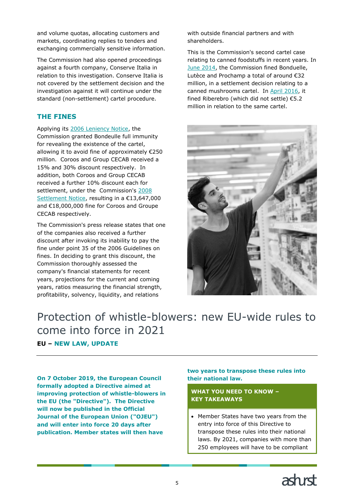and volume quotas, allocating customers and markets, coordinating replies to tenders and exchanging commercially sensitive information.

The Commission had also opened proceedings against a fourth company, Conserve Italia in relation to this investigation. Conserve Italia is not covered by the settlement decision and the investigation against it will continue under the standard (non-settlement) cartel procedure.

# **THE FINES**

Applying its [2006 Leniency Notice,](https://ec.europa.eu/competition/cartels/legislation/leniency_legislation.html) the Commission granted Bondeulle full immunity for revealing the existence of the cartel, allowing it to avoid fine of approximately €250 million. Coroos and Group CECAB received a 15% and 30% discount respectively. In addition, both Coroos and Group CECAB received a further 10% discount each for settlement, under the Commission's [2008](https://eur-lex.europa.eu/LexUriServ/LexUriServ.do?uri=OJ:C:2008:167:0001:0006:EN:PDF)  [Settlement Notice](https://eur-lex.europa.eu/LexUriServ/LexUriServ.do?uri=OJ:C:2008:167:0001:0006:EN:PDF), resulting in a €13,647,000 and €18,000,000 fine for Coroos and Groupe CECAB respectively.

The Commission's press release states that one of the companies also received a further discount after invoking its inability to pay the fine under point 35 of the 2006 Guidelines on fines. In deciding to grant this discount, the Commission thoroughly assessed the company's financial statements for recent years, projections for the current and coming years, ratios measuring the financial strength, profitability, solvency, liquidity, and relations

with outside financial partners and with shareholders.

This is the Commission's second cartel case relating to canned foodstuffs in recent years. In [June 2014,](https://ec.europa.eu/commission/presscorner/detail/en/ip_14_727) the Commission fined Bonduelle, Lutèce and Prochamp a total of around €32 million, in a settlement decision relating to a canned mushrooms cartel. In [April 2016,](https://ec.europa.eu/commission/presscorner/detail/en/ip_16_1261) it fined Riberebro (which did not settle) €5.2 million in relation to the same cartel.



# <span id="page-4-0"></span>Protection of whistle-blowers: new EU-wide rules to come into force in 2021 **EU – NEW LAW, UPDATE**

**On 7 October 2019, the European Council formally adopted a Directive aimed at improving protection of whistle-blowers in the EU (the "Directive"). The Directive will now be published in the Official Journal of the European Union ("OJEU") and will enter into force 20 days after publication. Member states will then have** 

### **two years to transpose these rules into their national law.**

**WHAT YOU NEED TO KNOW – KEY TAKEAWAYS**

• Member States have two years from the entry into force of this Directive to transpose these rules into their national laws. By 2021, companies with more than 250 employees will have to be compliant

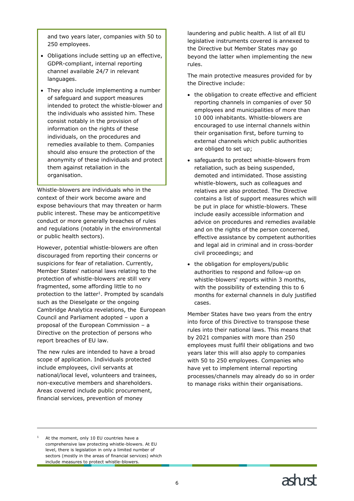and two years later, companies with 50 to 250 employees.

- Obligations include setting up an effective, GDPR-compliant, internal reporting channel available 24/7 in relevant languages.
- They also include implementing a number of safeguard and support measures intended to protect the whistle-blower and the individuals who assisted him. These consist notably in the provision of information on the rights of these individuals, on the procedures and remedies available to them. Companies should also ensure the protection of the anonymity of these individuals and protect them against retaliation in the organisation.

Whistle-blowers are individuals who in the context of their work become aware and expose behaviours that may threaten or harm public interest. These may be anticompetitive conduct or more generally breaches of rules and regulations (notably in the environmental or public health sectors).

However, potential whistle-blowers are often discouraged from reporting their concerns or suspicions for fear of retaliation. Currently, Member States' national laws relating to the protection of whistle-blowers are still very fragmented, some affording little to no protection to the latter<sup>1</sup>. Prompted by scandals such as the Dieselgate or the ongoing Cambridge Analytica revelations, the European Council and Parliament adopted – upon a proposal of the European Commission – a Directive on the protection of persons who report breaches of EU law.

The new rules are intended to have a broad scope of application. Individuals protected include employees, civil servants at national/local level, volunteers and trainees, non-executive members and shareholders. Areas covered include public procurement, financial services, prevention of money

laundering and public health. A list of all EU legislative instruments covered is annexed to the Directive but Member States may go beyond the latter when implementing the new rules.

The main protective measures provided for by the Directive include:

- the obligation to create effective and efficient reporting channels in companies of over 50 employees and municipalities of more than 10 000 inhabitants. Whistle-blowers are encouraged to use internal channels within their organisation first, before turning to external channels which public authorities are obliged to set up;
- safeguards to protect whistle-blowers from retaliation, such as being suspended, demoted and intimidated. Those assisting whistle-blowers, such as colleagues and relatives are also protected. The Directive contains a list of support measures which will be put in place for whistle-blowers. These include easily accessible information and advice on procedures and remedies available and on the rights of the person concerned, effective assistance by competent authorities and legal aid in criminal and in cross-border civil proceedings; and
- the obligation for employers/public authorities to respond and follow-up on whistle-blowers' reports within 3 months, with the possibility of extending this to 6 months for external channels in duly justified cases.

Member States have two years from the entry into force of this Directive to transpose these rules into their national laws. This means that by 2021 companies with more than 250 employees must fulfil their obligations and two years later this will also apply to companies with 50 to 250 employees. Companies who have yet to implement internal reporting processes/channels may already do so in order to manage risks within their organisations.

ł

At the moment, only 10 EU countries have a comprehensive law protecting whistle-blowers. At EU level, there is legislation in only a limited number of sectors (mostly in the areas of financial services) which include measures to protect whistle-blowers.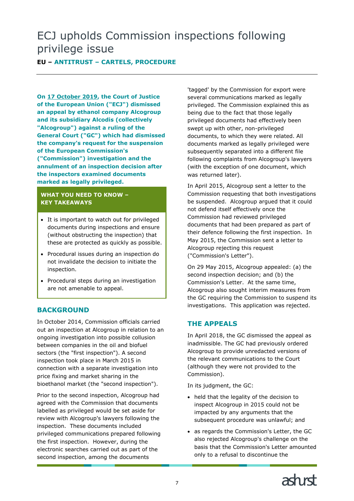# <span id="page-6-0"></span>ECJ upholds Commission inspections following privilege issue

# **EU – ANTITRUST – CARTELS, PROCEDURE**

**On [17 October 2019,](http://curia.europa.eu/juris/document/document.jsf?text=&docid=219252&pageIndex=0&doclang=FR&mode=req&dir=&occ=first&part=1&cid=5234702) the Court of Justice of the European Union ("ECJ") dismissed an appeal by ethanol company Alcogroup and its subsidiary Alcodis (collectively "Alcogroup") against a ruling of the General Court ("GC") which had dismissed the company's request for the suspension of the European Commission's ("Commission") investigation and the annulment of an inspection decision after the inspectors examined documents marked as legally privileged.**

### **WHAT YOU NEED TO KNOW – KEY TAKEAWAYS**

- It is important to watch out for privileged documents during inspections and ensure (without obstructing the inspection) that these are protected as quickly as possible.
- Procedural issues during an inspection do not invalidate the decision to initiate the inspection.
- Procedural steps during an investigation are not amenable to appeal.

# **BACKGROUND**

In October 2014, Commission officials carried out an inspection at Alcogroup in relation to an ongoing investigation into possible collusion between companies in the oil and biofuel sectors (the "first inspection"). A second inspection took place in March 2015 in connection with a separate investigation into price fixing and market sharing in the bioethanol market (the "second inspection").

Prior to the second inspection, Alcogroup had agreed with the Commission that documents labelled as privileged would be set aside for review with Alcogroup's lawyers following the inspection. These documents included privileged communications prepared following the first inspection. However, during the electronic searches carried out as part of the second inspection, among the documents

'tagged' by the Commission for export were several communications marked as legally privileged. The Commission explained this as being due to the fact that those legally privileged documents had effectively been swept up with other, non-privileged documents, to which they were related. All documents marked as legally privileged were subsequently separated into a different file following complaints from Alcogroup's lawyers (with the exception of one document, which was returned later).

In April 2015, Alcogroup sent a letter to the Commission requesting that both investigations be suspended. Alcogroup argued that it could not defend itself effectively once the Commission had reviewed privileged documents that had been prepared as part of their defence following the first inspection. In May 2015, the Commission sent a letter to Alcogroup rejecting this request ("Commission's Letter").

On 29 May 2015, Alcogroup appealed: (a) the second inspection decision; and (b) the Commission's Letter. At the same time, Alcogroup also sought interim measures from the GC requiring the Commission to suspend its investigations. This application was rejected.

# **THE APPEALS**

In April 2018, the GC dismissed the appeal as inadmissible. The GC had previously ordered Alcogroup to provide unredacted versions of the relevant communications to the Court (although they were not provided to the Commission).

In its judgment, the GC:

- held that the legality of the decision to inspect Alcogroup in 2015 could not be impacted by any arguments that the subsequent procedure was unlawful; and
- as regards the Commission's Letter, the GC also rejected Alcogroup's challenge on the basis that the Commission's Letter amounted only to a refusal to discontinue the

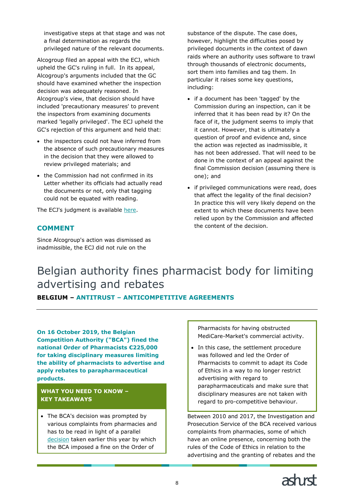investigative steps at that stage and was not a final determination as regards the privileged nature of the relevant documents.

Alcogroup filed an appeal with the ECJ, which upheld the GC's ruling in full. In its appeal, Alcogroup's arguments included that the GC should have examined whether the inspection decision was adequately reasoned. In Alcogroup's view, that decision should have included 'precautionary measures' to prevent the inspectors from examining documents marked 'legally privileged'. The ECJ upheld the GC's rejection of this argument and held that:

- the inspectors could not have inferred from the absence of such precautionary measures in the decision that they were allowed to review privileged materials; and
- the Commission had not confirmed in its Letter whether its officials had actually read the documents or not, only that tagging could not be equated with reading.

The ECJ's judgment is available [here.](http://curia.europa.eu/juris/document/document.jsf?text=&docid=219252&pageIndex=0&doclang=FR&mode=req&dir=&occ=first&part=1&cid=5144795)

# **COMMENT**

<span id="page-7-0"></span>Since Alcogroup's action was dismissed as inadmissible, the ECJ did not rule on the

substance of the dispute. The case does, however, highlight the difficulties posed by privileged documents in the context of dawn raids where an authority uses software to trawl through thousands of electronic documents, sort them into families and tag them. In particular it raises some key questions, including:

- if a document has been 'tagged' by the Commission during an inspection, can it be inferred that it has been read by it? On the face of it, the judgment seems to imply that it cannot. However, that is ultimately a question of proof and evidence and, since the action was rejected as inadmissible, it has not been addressed. That will need to be done in the context of an appeal against the final Commission decision (assuming there is one); and
- if privileged communications were read, does that affect the legality of the final decision? In practice this will very likely depend on the extent to which these documents have been relied upon by the Commission and affected the content of the decision.

# Belgian authority fines pharmacist body for limiting advertising and rebates

**BELGIUM – ANTITRUST – ANTICOMPETITIVE AGREEMENTS**

**On 16 October 2019, the Belgian Competition Authority ("BCA") fined the national Order of Pharmacists €225,000 for taking disciplinary measures limiting the ability of pharmacists to advertise and apply rebates to parapharmaceutical products.**

**WHAT YOU NEED TO KNOW – KEY TAKEAWAYS**

• The BCA's decision was prompted by various complaints from pharmacies and has to be read in light of a parallel [decision](https://www.belgiancompetition.be/sites/default/files/content/download/files/abc-2019-io-14_pub_0.pdf) taken earlier this year by which the BCA imposed a fine on the Order of

Pharmacists for having obstructed MediCare-Market's commercial activity.

• In this case, the settlement procedure was followed and led the Order of Pharmacists to commit to adapt its Code of Ethics in a way to no longer restrict advertising with regard to parapharmaceuticals and make sure that disciplinary measures are not taken with regard to pro-competitive behaviour.

Between 2010 and 2017, the Investigation and Prosecution Service of the BCA received various complaints from pharmacies, some of which have an online presence, concerning both the rules of the Code of Ethics in relation to the advertising and the granting of rebates and the

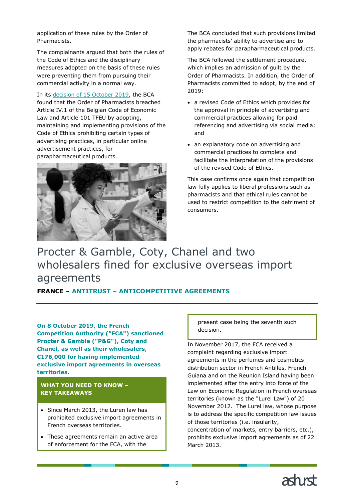application of these rules by the Order of Pharmacists.

The complainants argued that both the rules of the Code of Ethics and the disciplinary measures adopted on the basis of these rules were preventing them from pursuing their commercial activity in a normal way.

In its [decision of 15 October 2019,](https://www.belgiancompetition.be/sites/default/files/content/download/files/abc-2019-pk-34-aud_pub.pdf) the BCA found that the Order of Pharmacists breached Article IV.1 of the Belgian Code of Economic Law and Article 101 TFEU by adopting, maintaining and implementing provisions of the Code of Ethics prohibiting certain types of advertising practices, in particular online advertisement practices, for parapharmaceutical products.



The BCA concluded that such provisions limited the pharmacists' ability to advertise and to apply rebates for parapharmaceutical products.

The BCA followed the settlement procedure, which implies an admission of guilt by the Order of Pharmacists. In addition, the Order of Pharmacists committed to adopt, by the end of 2019:

- a revised Code of Ethics which provides for the approval in principle of advertising and commercial practices allowing for paid referencing and advertising via social media; and
- an explanatory code on advertising and commercial practices to complete and facilitate the interpretation of the provisions of the revised Code of Ethics.

This case confirms once again that competition law fully applies to liberal professions such as pharmacists and that ethical rules cannot be used to restrict competition to the detriment of consumers.

# <span id="page-8-0"></span>Procter & Gamble, Coty, Chanel and two wholesalers fined for exclusive overseas import agreements

# **FRANCE – ANTITRUST – ANTICOMPETITIVE AGREEMENTS**

**On 8 October 2019, the French Competition Authority ("FCA") sanctioned Procter & Gamble ("P&G"), Coty and Chanel, as well as their wholesalers, €176,000 for having implemented exclusive import agreements in overseas territories.**

### **WHAT YOU NEED TO KNOW – KEY TAKEAWAYS**

- Since March 2013, the Luren law has prohibited exclusive import agreements in French overseas territories.
- These agreements remain an active area of enforcement for the FCA, with the

present case being the seventh such decision.

In November 2017, the FCA received a complaint regarding exclusive import agreements in the perfumes and cosmetics distribution sector in French Antilles, French Guiana and on the Reunion Island having been implemented after the entry into force of the Law on Economic Regulation in French overseas territories (known as the "Lurel Law") of 20 November 2012. The Lurel law, whose purpose is to address the specific competition law issues of those territories (i.e. insularity, concentration of markets, entry barriers, etc.), prohibits exclusive import agreements as of 22 March 2013.

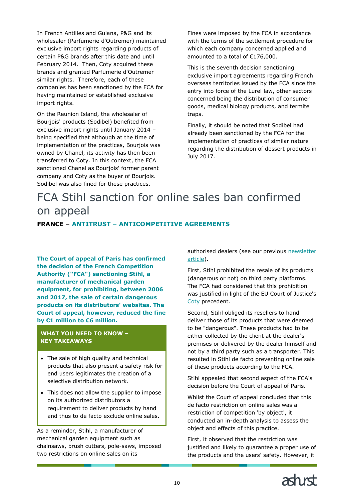In French Antilles and Guiana, P&G and its wholesaler (Parfumerie d'Outremer) maintained exclusive import rights regarding products of certain P&G brands after this date and until February 2014. Then, Coty acquired these brands and granted Parfumerie d'Outremer similar rights. Therefore, each of these companies has been sanctioned by the FCA for having maintained or established exclusive import rights.

On the Reunion Island, the wholesaler of Bourjois' products (Sodibel) benefited from exclusive import rights until January 2014 – being specified that although at the time of implementation of the practices, Bourjois was owned by Chanel, its activity has then been transferred to Coty. In this context, the FCA sanctioned Chanel as Bourjois' former parent company and Coty as the buyer of Bourjois. Sodibel was also fined for these practices.

Fines were imposed by the FCA in accordance with the terms of the settlement procedure for which each company concerned applied and amounted to a total of €176,000.

This is the seventh decision sanctioning exclusive import agreements regarding French overseas territories issued by the FCA since the entry into force of the Lurel law, other sectors concerned being the distribution of consumer goods, medical biology products, and termite traps.

Finally, it should be noted that Sodibel had already been sanctioned by the FCA for the implementation of practices of similar nature regarding the distribution of dessert products in July 2017.

# <span id="page-9-0"></span>FCA Stihl sanction for online sales ban confirmed on appeal

### **FRANCE – ANTITRUST – ANTICOMPETITIVE AGREEMENTS**

**The Court of appeal of Paris has confirmed the decision of the French Competition Authority ("FCA") sanctioning Stihl, a manufacturer of mechanical garden equipment, for prohibiting, between 2006 and 2017, the sale of certain dangerous products on its distributors' websites. The Court of appeal, however, reduced the fine by €1 million to €6 million.**

### **WHAT YOU NEED TO KNOW – KEY TAKEAWAYS**

- The sale of high quality and technical products that also present a safety risk for end users legitimates the creation of a selective distribution network.
- This does not allow the supplier to impose on its authorized distributors a requirement to deliver products by hand and thus to de facto exclude online sales.

As a reminder, Stihl, a manufacturer of mechanical garden equipment such as chainsaws, brush cutters, pole-saws, imposed two restrictions on online sales on its

authorised dealers (see our previous newsletter [article\)](https://www.ashurst.com/en/news-and-insights/legal-updates/french-competition-authority-applies-coty-judgment/).

First, Stihl prohibited the resale of its products (dangerous or not) on third party platforms. The FCA had considered that this prohibition was justified in light of the EU Court of Justice's [Coty](http://curia.europa.eu/juris/document/document.jsf?text=&docid=197487&pageIndex=0&doclang=en&mode=lst&dir=&occ=first&part=1&cid=9046336) precedent.

Second, Stihl obliged its resellers to hand deliver those of its products that were deemed to be "dangerous". These products had to be either collected by the client at the dealer's premises or delivered by the dealer himself and not by a third party such as a transporter. This resulted in Stihl de facto preventing online sale of these products according to the FCA.

Stihl appealed that second aspect of the FCA's decision before the Court of appeal of Paris.

Whilst the Court of appeal concluded that this de facto restriction on online sales was a restriction of competition 'by object', it conducted an in-depth analysis to assess the object and effects of this practice.

First, it observed that the restriction was justified and likely to guarantee a proper use of the products and the users' safety. However, it

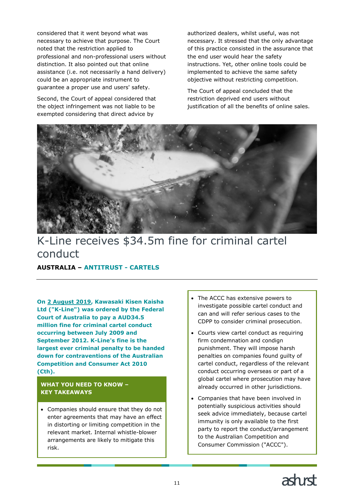considered that it went beyond what was necessary to achieve that purpose. The Court noted that the restriction applied to professional and non-professional users without distinction. It also pointed out that online assistance (i.e. not necessarily a hand delivery) could be an appropriate instrument to guarantee a proper use and users' safety.

Second, the Court of appeal considered that the object infringement was not liable to be exempted considering that direct advice by

authorized dealers, whilst useful, was not necessary. It stressed that the only advantage of this practice consisted in the assurance that the end user would hear the safety instructions. Yet, other online tools could be implemented to achieve the same safety objective without restricting competition.

The Court of appeal concluded that the restriction deprived end users without justification of all the benefits of online sales.

<span id="page-10-0"></span>

# K-Line receives \$34.5m fine for criminal cartel conduct

# **AUSTRALIA – ANTITRUST - CARTELS**

**On [2 August 2019,](https://www.accc.gov.au/media-release/k-line-convicted-of-criminal-cartel-conduct-and-fined-345-million) Kawasaki Kisen Kaisha Ltd ("K-Line") was ordered by the Federal Court of Australia to pay a AUD34.5 million fine for criminal cartel conduct occurring between July 2009 and September 2012. K-Line's fine is the largest ever criminal penalty to be handed down for contraventions of the Australian Competition and Consumer Act 2010 (Cth).**

### **WHAT YOU NEED TO KNOW – KEY TAKEAWAYS**

• Companies should ensure that they do not enter agreements that may have an effect in distorting or limiting competition in the relevant market. Internal whistle-blower arrangements are likely to mitigate this risk.

- The ACCC has extensive powers to investigate possible cartel conduct and can and will refer serious cases to the CDPP to consider criminal prosecution.
- Courts view cartel conduct as requiring firm condemnation and condign punishment. They will impose harsh penalties on companies found guilty of cartel conduct, regardless of the relevant conduct occurring overseas or part of a global cartel where prosecution may have already occurred in other jurisdictions.
- Companies that have been involved in potentially suspicious activities should seek advice immediately, because cartel immunity is only available to the first party to report the conduct/arrangement to the Australian Competition and Consumer Commission ("ACCC").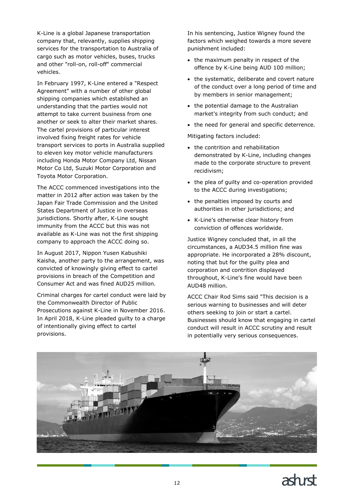K-Line is a global Japanese transportation company that, relevantly, supplies shipping services for the transportation to Australia of cargo such as motor vehicles, buses, trucks and other "roll-on, roll-off" commercial vehicles.

In February 1997, K-Line entered a "Respect Agreement" with a number of other global shipping companies which established an understanding that the parties would not attempt to take current business from one another or seek to alter their market shares. The cartel provisions of particular interest involved fixing freight rates for vehicle transport services to ports in Australia supplied to eleven key motor vehicle manufacturers including Honda Motor Company Ltd, Nissan Motor Co Ltd, Suzuki Motor Corporation and Toyota Motor Corporation.

The ACCC commenced investigations into the matter in 2012 after action was taken by the Japan Fair Trade Commission and the United States Department of Justice in overseas jurisdictions. Shortly after, K-Line sought immunity from the ACCC but this was not available as K-Line was not the first shipping company to approach the ACCC doing so.

In August 2017, Nippon Yusen Kabushiki Kaisha, another party to the arrangement, was convicted of knowingly giving effect to cartel provisions in breach of the Competition and Consumer Act and was fined AUD25 million.

Criminal charges for cartel conduct were laid by the Commonwealth Director of Public Prosecutions against K-Line in November 2016. In April 2018, K-Line pleaded guilty to a charge of intentionally giving effect to cartel provisions.

In his sentencing, Justice Wigney found the factors which weighed towards a more severe punishment included:

- the maximum penalty in respect of the offence by K-Line being AUD 100 million;
- the systematic, deliberate and covert nature of the conduct over a long period of time and by members in senior management;
- the potential damage to the Australian market's integrity from such conduct; and
- the need for general and specific deterrence.

Mitigating factors included:

- the contrition and rehabilitation demonstrated by K-Line, including changes made to the corporate structure to prevent recidivism;
- the plea of guilty and co-operation provided to the ACCC during investigations;
- the penalties imposed by courts and authorities in other jurisdictions; and
- K-Line's otherwise clear history from conviction of offences worldwide.

Justice Wigney concluded that, in all the circumstances, a AUD34.5 million fine was appropriate. He incorporated a 28% discount, noting that but for the guilty plea and corporation and contrition displayed throughout, K-Line's fine would have been AUD48 million.

ACCC Chair Rod Sims said "This decision is a serious warning to businesses and will deter others seeking to join or start a cartel. Businesses should know that engaging in cartel conduct will result in ACCC scrutiny and result in potentially very serious consequences.

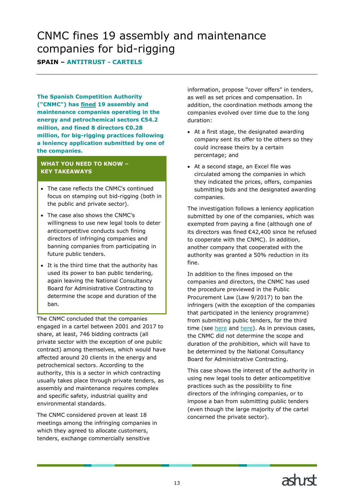# <span id="page-12-0"></span>CNMC fines 19 assembly and maintenance companies for bid-rigging

**SPAIN – ANTITRUST - CARTELS**

**The Spanish Competition Authority ("CNMC") has [fined](https://www.cnmc.es/sites/default/files/editor_contenidos/Notas%20de%20prensa/2019/20191009_NP_Sancionador_Montajes_Industriales_eng.pdf) 19 assembly and maintenance companies operating in the energy and petrochemical sectors €54.2 million, and fined 8 directors €0.28 million, for big-rigging practices following a leniency application submitted by one of the companies.**

### **WHAT YOU NEED TO KNOW – KEY TAKEAWAYS**

- The case reflects the CNMC's continued focus on stamping out bid-rigging (both in the public and private sector).
- The case also shows the CNMC's willingness to use new legal tools to deter anticompetitive conducts such fining directors of infringing companies and banning companies from participating in future public tenders.
- It is the third time that the authority has used its power to ban public tendering, again leaving the National Consultancy Board for Administrative Contracting to determine the scope and duration of the ban.

The CNMC concluded that the companies engaged in a cartel between 2001 and 2017 to share, at least, 746 bidding contracts (all private sector with the exception of one public contract) among themselves, which would have affected around 20 clients in the energy and petrochemical sectors. According to the authority, this is a sector in which contracting usually takes place through private tenders, as assembly and maintenance requires complex and specific safety, industrial quality and environmental standards.

The CNMC considered proven at least 18 meetings among the infringing companies in which they agreed to allocate customers, tenders, exchange commercially sensitive

information, propose "cover offers" in tenders, as well as set prices and compensation. In addition, the coordination methods among the companies evolved over time due to the long duration:

- At a first stage, the designated awarding company sent its offer to the others so they could increase theirs by a certain percentage; and
- At a second stage, an Excel file was circulated among the companies in which they indicated the prices, offers, companies submitting bids and the designated awarding companies.

The investigation follows a leniency application submitted by one of the companies, which was exempted from paying a fine (although one of its directors was fined €42,400 since he refused to cooperate with the CNMC). In addition, another company that cooperated with the authority was granted a 50% reduction in its fine.

In addition to the fines imposed on the companies and directors, the CNMC has used the procedure previewed in the Public Procurement Law (Law 9/2017) to ban the infringers (with the exception of the companies that participated in the leniency programme) from submitting public tenders, for the third time (see [here](https://www.cnmc.es/sites/default/files/editor_contenidos/20190710%20NP%20Transporte%20Escolar%20Murcia%20SAMUR_02_18%20(5739).ENG.pdf) and [here\)](https://www.ashurst.com/en/news-and-insights/legal-updates/cnmc-fines-15-rail-cartelists-118m-and-its-directors/). As in previous cases, the CNMC did not determine the scope and duration of the prohibition, which will have to be determined by the National Consultancy Board for Administrative Contracting.

This case shows the interest of the authority in using new legal tools to deter anticompetitive practices such as the possibility to fine directors of the infringing companies, or to impose a ban from submitting public tenders (even though the large majority of the cartel concerned the private sector).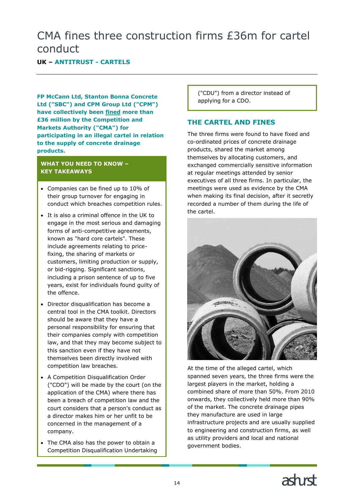# <span id="page-13-0"></span>CMA fines three construction firms £36m for cartel conduct

# **UK – ANTITRUST - CARTELS**

**FP McCann Ltd, Stanton Bonna Concrete Ltd ("SBC") and CPM Group Ltd ("CPM") have collectively been [fined](https://www.gov.uk/cma-cases/supply-of-precast-concrete-drainage-products-civil-investigation) more than £36 million by the Competition and Markets Authority ("CMA") for participating in an illegal cartel in relation to the supply of concrete drainage products.**

### **WHAT YOU NEED TO KNOW – KEY TAKEAWAYS**

- Companies can be fined up to 10% of their group turnover for engaging in conduct which breaches competition rules.
- It is also a criminal offence in the UK to engage in the most serious and damaging forms of anti-competitive agreements, known as "hard core cartels". These include agreements relating to pricefixing, the sharing of markets or customers, limiting production or supply, or bid-rigging. Significant sanctions, including a prison sentence of up to five years, exist for individuals found guilty of the offence.
- Director disqualification has become a central tool in the CMA toolkit. Directors should be aware that they have a personal responsibility for ensuring that their companies comply with competition law, and that they may become subject to this sanction even if they have not themselves been directly involved with competition law breaches.
- A Competition Disqualification Order ("CDO") will be made by the court (on the application of the CMA) where there has been a breach of competition law and the court considers that a person's conduct as a director makes him or her unfit to be concerned in the management of a company.
- The CMA also has the power to obtain a Competition Disqualification Undertaking

("CDU") from a director instead of applying for a CDO.

# **THE CARTEL AND FINES**

The three firms were found to have fixed and co-ordinated prices of concrete drainage products, shared the market among themselves by allocating customers, and exchanged commercially sensitive information at regular meetings attended by senior executives of all three firms. In particular, the meetings were used as evidence by the CMA when making its final decision, after it secretly recorded a number of them during the life of the cartel.



At the time of the alleged cartel, which spanned seven years, the three firms were the largest players in the market, holding a combined share of more than 50%. From 2010 onwards, they collectively held more than 90% of the market. The concrete drainage pipes they manufacture are used in large infrastructure projects and are usually supplied to engineering and construction firms, as well as utility providers and local and national government bodies.

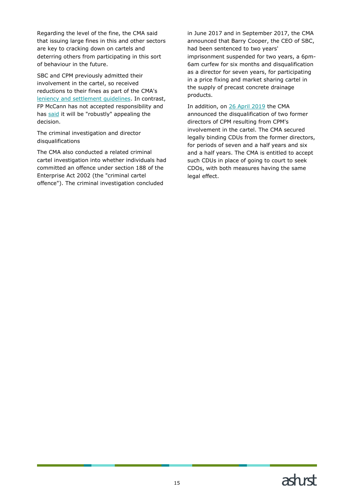Regarding the level of the fine, the CMA said that issuing large fines in this and other sectors are key to cracking down on cartels and deterring others from participating in this sort of behaviour in the future.

SBC and CPM previously admitted their involvement in the cartel, so received reductions to their fines as part of the CMA's [leniency and settlement guidelines.](https://www.gov.uk/guidance/cartels-confess-and-apply-for-leniency) In contrast, FP McCann has not accepted responsibility and has [said](https://www.bbc.co.uk/news/uk-northern-ireland-50155890) it will be "robustly" appealing the decision.

The criminal investigation and director disqualifications

The CMA also conducted a related criminal cartel investigation into whether individuals had committed an offence under section 188 of the Enterprise Act 2002 (the "criminal cartel offence"). The criminal investigation concluded

in June 2017 and in September 2017, the CMA announced that Barry Cooper, the CEO of SBC, had been sentenced to two years' imprisonment suspended for two years, a 6pm-6am curfew for six months and disqualification as a director for seven years, for participating in a price fixing and market sharing cartel in the supply of precast concrete drainage products.

In addition, on [26 April 2019](https://www.ashurst.com/en/news-and-insights/legal-updates/cma-ramps-up-use-of-director-disqualification-powers/) the CMA announced the disqualification of two former directors of CPM resulting from CPM's involvement in the cartel. The CMA secured legally binding CDUs from the former directors, for periods of seven and a half years and six and a half years. The CMA is entitled to accept such CDUs in place of going to court to seek CDOs, with both measures having the same legal effect.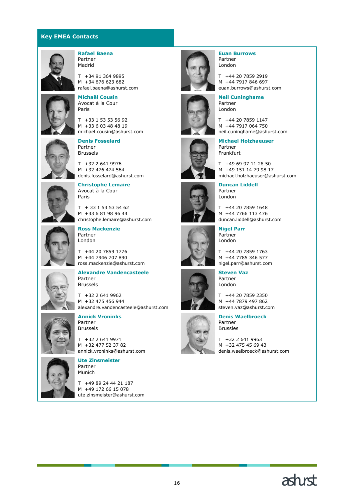### **Key EMEA Contacts**



#### **Rafael Baena** Partner Madrid

T +34 91 364 9895 M +34 676 623 682 rafael.baena@ashurst.com



**Michaël Cousin** Avocat à la Cour Paris

T +33 1 53 53 56 92 M +33 6 03 48 48 19 michael.cousin@ashurst.com



**Denis Fosselard** Partner Brussels

T +32 2 641 9976 M +32 476 474 564 denis.fosselard@ashurst.com



**Christophe Lemaire** Avocat à la Cour Paris

 $T$  + 33 1 53 53 54 62 M +33 6 81 98 96 44 christophe.lemaire@ashurst.com



**Ross Mackenzie** Partner London

T +44 20 7859 1776 M +44 7946 707 890 ross.mackenzie@ashurst.com



**Alexandre Vandencasteele** Partner Brussels

T +32 2 641 9962 M +32 475 456 944 alexandre.vandencasteele@ashurst.com



**Annick Vroninks** Partner Brussels

T +32 2 641 9971 M +32 477 52 37 82 annick.vroninks@ashurst.com



#### **Ute Zinsmeister** Partner Munich

T +49 89 24 44 21 187 M +49 172 66 15 078 ute.zinsmeister@ashurst.com



















T +32 2 641 9963







T +44 20 7859 1147 M +44 7917 064 750 neil.cuninghame@ashurst.com **Michael Holzhaeuser**

**Neil Cuninghame**

Partner London

Partner Frankfurt

T +49 69 97 11 28 50 M +49 151 14 79 98 17 michael.holzhaeuser@ashurst.com

**Duncan Liddell** Partner London

T +44 20 7859 1648 M +44 7766 113 476 duncan.liddell@ashurst.com

**Nigel Parr** Partner London

T +44 20 7859 1763 M +44 7785 346 577 nigel.parr@ashurst.com

**Steven Vaz** Partner London

T +44 20 7859 2350 M +44 7879 497 862 steven.vaz@ashurst.com

**Denis Waelbroeck** Partner Brussles

M +32 475 45 69 43 denis.waelbroeck@ashurst.com



### **Euan Burrows** Partner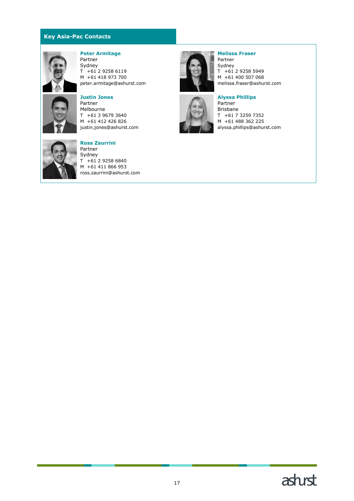### **Key Asia-Pac Contacts**



#### **Peter Armitage** Partner

Sydney  $T + 61 2 9258 6119$ M +61 418 973 700 peter.armitage@ashurst.com



# **Justin Jones**

Partner Melbourne T +61 3 9679 3640 M +61 412 426 826 justin.jones@ashurst.com



#### **Ross Zaurrini**

Partner Sydney  $T + 61 2 9258 6840$ M +61 411 866 953 ross.zaurrini@ashurst.com



#### Partner Sydney  $T + 61 2 9258 5949$ M +61 400 507 068 melissa.fraser@ashurst.com

**Melissa Fraser**



**Alyssa Phillips** Partner Brisbane T +61 7 3259 7352 M +61 488 362 225 alyssa.phillips@ashurst.com